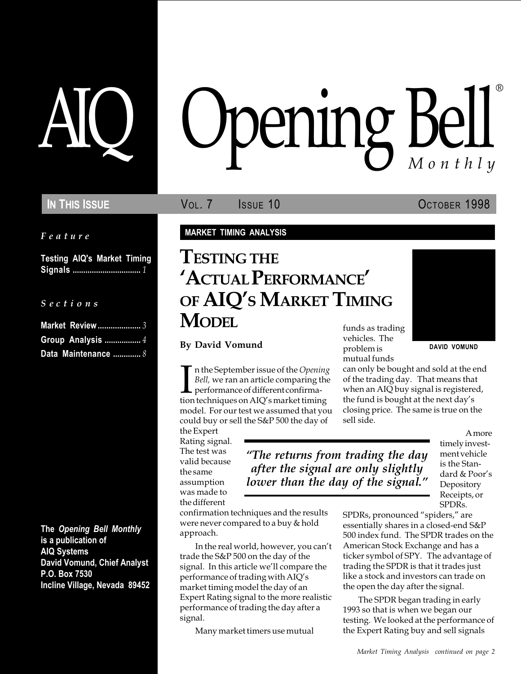Feature

Testing AIQ's Market Timing Signals ................................ 1

S e c t i o n s

| Group Analysis  4   |  |
|---------------------|--|
| Data Maintenance  8 |  |

The Opening Bell Monthly is a publication of AIQ Systems David Vomund, Chief Analyst P.O. Box 7530 Incline Village, Nevada 89452

# pening Bell ®

In This Issue **Vol. 7** Issue 10 OCTOBER 1998

MARKET TIMING ANALYSIS

## funds as trading TESTING THE 'ACTUAL PERFORMANCE' OF AIQ'S MARKET TIMING **MODEL**

By David Vomund

In the September issue of the *Opening*<br> *Bell,* we ran an article comparing the<br>
performance of different confirma-<br>
tion techniques on AIQ's market timing n the September issue of the Opening Bell, we ran an article comparing the  $\blacksquare$  performance of different confirmamodel. For our test we assumed that you could buy or sell the S&P 500 the day of

the Expert Rating signal. The test was valid because the same assumption was made to the different

The returns from trading the day after the signal are only slightly lower than the day of the signal."

vehicles. The problem is mutual funds DAVID VOMUND

can only be bought and sold at the end of the trading day. That means that when an AIQ buy signal is registered, the fund is bought at the next day's closing price. The same is true on the sell side.

> A more timely investment vehicle is the Standard & Poor's Depository Receipts, or SPDRs.

confirmation techniques and the results were never compared to a buy & hold approach.

In the real world, however, you can't trade the S&P 500 on the day of the signal. In this article we'll compare the performance of trading with AIO's market timing model the day of an Expert Rating signal to the more realistic performance of trading the day after a signal.

Many market timers use mutual

SPDRs, pronounced "spiders," are essentially shares in a closed-end S&P 500 index fund. The SPDR trades on the American Stock Exchange and has a ticker symbol of SPY. The advantage of trading the SPDR is that it trades just like a stock and investors can trade on the open the day after the signal.

The SPDR began trading in early 1993 so that is when we began our testing. We looked at the performance of the Expert Rating buy and sell signals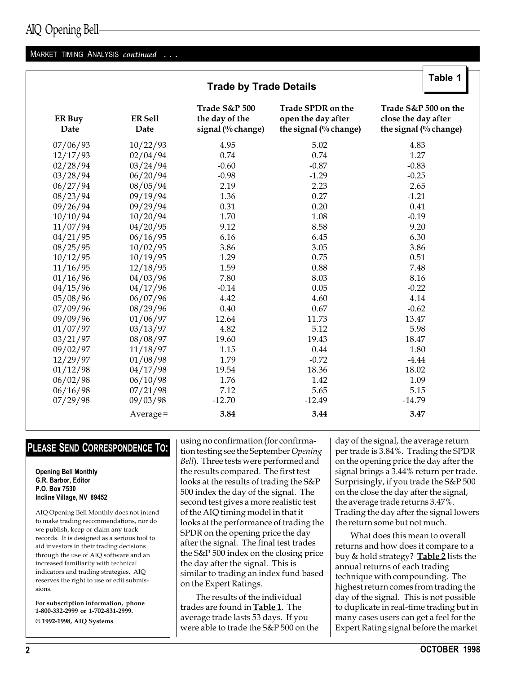#### MARKET TIMING ANALYSIS continued . . .

| <b>Trade by Trade Details</b> |                               |                                                      |                                                                  |                                                                      |  |  |
|-------------------------------|-------------------------------|------------------------------------------------------|------------------------------------------------------------------|----------------------------------------------------------------------|--|--|
| ER Buy<br>Date                | <b>ER Sell</b><br><b>Date</b> | Trade S&P 500<br>the day of the<br>signal (% change) | Trade SPDR on the<br>open the day after<br>the signal (% change) | Trade S&P 500 on the<br>close the day after<br>the signal (% change) |  |  |
| 07/06/93                      | 10/22/93                      | 4.95                                                 | 5.02                                                             | 4.83                                                                 |  |  |
| 12/17/93                      | 02/04/94                      | 0.74                                                 | 0.74                                                             | 1.27                                                                 |  |  |
| 02/28/94                      | 03/24/94                      | $-0.60$                                              | $-0.87$                                                          | $-0.83$                                                              |  |  |
| 03/28/94                      | 06/20/94                      | $-0.98$                                              | $-1.29$                                                          | $-0.25$                                                              |  |  |
| 06/27/94                      | 08/05/94                      | 2.19                                                 | 2.23                                                             | 2.65                                                                 |  |  |
| 08/23/94                      | 09/19/94                      | 1.36                                                 | 0.27                                                             | $-1.21$                                                              |  |  |
| 09/26/94                      | 09/29/94                      | 0.31                                                 | 0.20                                                             | 0.41                                                                 |  |  |
| 10/10/94                      | 10/20/94                      | 1.70                                                 | 1.08                                                             | $-0.19$                                                              |  |  |
| 11/07/94                      | 04/20/95                      | 9.12                                                 | 8.58                                                             | 9.20                                                                 |  |  |
| 04/21/95                      | 06/16/95                      | 6.16                                                 | 6.45                                                             | 6.30                                                                 |  |  |
| 08/25/95                      | 10/02/95                      | 3.86                                                 | 3.05                                                             | 3.86                                                                 |  |  |
| 10/12/95                      | 10/19/95                      | 1.29                                                 | 0.75                                                             | 0.51                                                                 |  |  |
| 11/16/95                      | 12/18/95                      | 1.59                                                 | 0.88                                                             | 7.48                                                                 |  |  |
| 01/16/96                      | 04/03/96                      | 7.80                                                 | 8.03                                                             | 8.16                                                                 |  |  |
| 04/15/96                      | 04/17/96                      | $-0.14$                                              | 0.05                                                             | $-0.22$                                                              |  |  |
| 05/08/96                      | 06/07/96                      | 4.42                                                 | 4.60                                                             | 4.14                                                                 |  |  |
| 07/09/96                      | 08/29/96                      | 0.40                                                 | 0.67                                                             | $-0.62$                                                              |  |  |
| 09/09/96                      | 01/06/97                      | 12.64                                                | 11.73                                                            | 13.47                                                                |  |  |
| 01/07/97                      | 03/13/97                      | 4.82                                                 | 5.12                                                             | 5.98                                                                 |  |  |
| 03/21/97                      | 08/08/97                      | 19.60                                                | 19.43                                                            | 18.47                                                                |  |  |
| 09/02/97                      | 11/18/97                      | 1.15                                                 | 0.44                                                             | 1.80                                                                 |  |  |
| 12/29/97                      | 01/08/98                      | 1.79                                                 | $-0.72$                                                          | $-4.44$                                                              |  |  |
| 01/12/98                      | 04/17/98                      | 19.54                                                | 18.36                                                            | 18.02                                                                |  |  |
| 06/02/98                      | 06/10/98                      | 1.76                                                 | 1.42                                                             | 1.09                                                                 |  |  |
| 06/16/98                      | 07/21/98                      | 7.12                                                 | 5.65                                                             | 5.15                                                                 |  |  |
| 07/29/98                      | 09/03/98                      | $-12.70$                                             | $-12.49$                                                         | $-14.79$                                                             |  |  |
|                               | Average=                      | 3.84                                                 | 3.44                                                             | 3.47                                                                 |  |  |

#### PLEASE SEND CORRESPONDENCE TO:

Opening Bell Monthly G.R. Barbor, Editor P.O. Box 7530 Incline Village, NV 89452

AIQ Opening Bell Monthly does not intend to make trading recommendations, nor do we publish, keep or claim any track records. It is designed as a serious tool to aid investors in their trading decisions through the use of AIQ software and an increased familiarity with technical indicators and trading strategies. AIQ reserves the right to use or edit submissions.

For subscription information, phone 1-800-332-2999 or 1-702-831-2999. © 1992-1998, AIQ Systems

using no confirmation (for confirmation testing see the September Opening Bell). Three tests were performed and the results compared. The first test looks at the results of trading the S&P 500 index the day of the signal. The second test gives a more realistic test of the AIQ timing model in that it looks at the performance of trading the SPDR on the opening price the day after the signal. The final test trades the S&P 500 index on the closing price the day after the signal. This is similar to trading an index fund based on the Expert Ratings.

The results of the individual trades are found in **Table 1**. The average trade lasts 53 days. If you were able to trade the S&P 500 on the day of the signal, the average return per trade is 3.84%. Trading the SPDR on the opening price the day after the signal brings a 3.44% return per trade. Surprisingly, if you trade the S&P 500 on the close the day after the signal, the average trade returns 3.47%. Trading the day after the signal lowers the return some but not much.

Table 1

What does this mean to overall returns and how does it compare to a buy & hold strategy? **Table 2** lists the annual returns of each trading technique with compounding. The highest return comes from trading the day of the signal. This is not possible to duplicate in real-time trading but in many cases users can get a feel for the Expert Rating signal before the market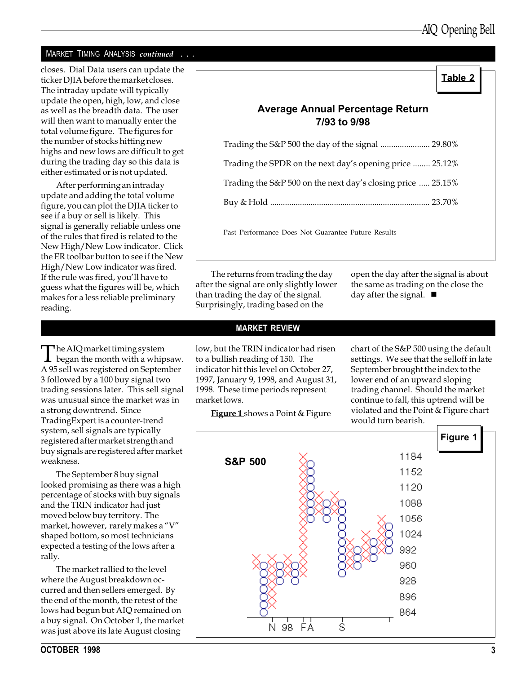#### MARKET TIMING ANALYSIS continued . . .

closes. Dial Data users can update the<br>ticker DIIA before the market closes ticker DJIA before the market closes. The intraday update will typically update the open, high, low, and close as well as the breadth data. The user will then want to manually enter the total volume figure. The figures for the number of stocks hitting new highs and new lows are difficult to get during the trading day so this data is either estimated or is not updated.

After performing an intraday update and adding the total volume figure, you can plot the DJIA ticker to see if a buy or sell is likely. This signal is generally reliable unless one of the rules that fired is related to the New High/New Low indicator. Click the ER toolbar button to see if the New High/New Low indicator was fired. If the rule was fired, you'll have to guess what the figures will be, which makes for a less reliable preliminary reading.

The AIQ market timing system  $\perp$  began the month with a whipsaw. A 95 sell was registered on September 3 followed by a 100 buy signal two trading sessions later. This sell signal was unusual since the market was in a strong downtrend. Since TradingExpert is a counter-trend system, sell signals are typically registered after market strength and buy signals are registered after market weakness.

The September 8 buy signal looked promising as there was a high percentage of stocks with buy signals and the TRIN indicator had just moved below buy territory. The market, however, rarely makes a "V" shaped bottom, so most technicians expected a testing of the lows after a rally.

The market rallied to the level where the August breakdown occurred and then sellers emerged. By the end of the month, the retest of the lows had begun but AIQ remained on a buy signal. On October 1, the market was just above its late August closing

## Average Annual Percentage Return 7/93 to 9/98

| Trading the S&P 500 the day of the signal  29.80%           |  |
|-------------------------------------------------------------|--|
| Trading the SPDR on the next day's opening price  25.12%    |  |
| Trading the S&P 500 on the next day's closing price  25.15% |  |
|                                                             |  |
|                                                             |  |

Past Performance Does Not Guarantee Future Results

The returns from trading the day after the signal are only slightly lower than trading the day of the signal. Surprisingly, trading based on the

open the day after the signal is about the same as trading on the close the day after the signal.  $\blacksquare$ 

#### MARKET REVIEW

low, but the TRIN indicator had risen to a bullish reading of 150. The indicator hit this level on October 27, 1997, January 9, 1998, and August 31, 1998. These time periods represent market lows.

**Figure 1** shows a Point & Figure

chart of the S&P 500 using the default settings. We see that the selloff in late September brought the index to the lower end of an upward sloping trading channel. Should the market continue to fall, this uptrend will be violated and the Point & Figure chart would turn bearish.

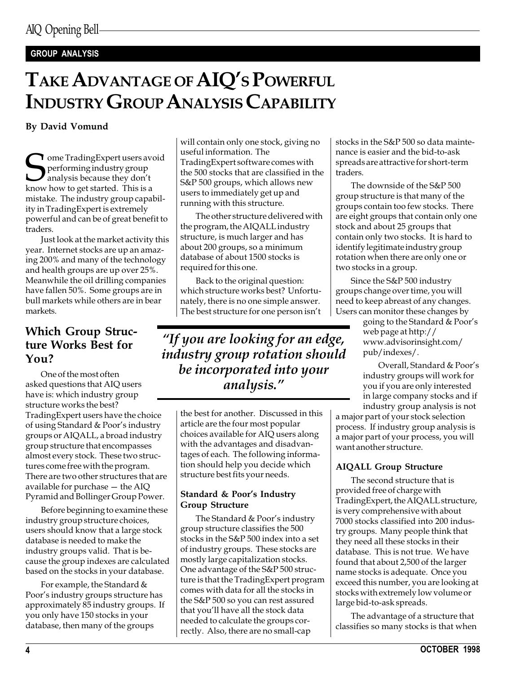#### GROUP ANALYSIS

# TAKE ADVANTAGE OF AIQ'S POWERFUL INDUSTRY GROUP ANALYSIS CAPABILITY

By David Vomund

**T** ome TradingExpert users avoid performing industry group  $J$  analysis because they don't know how to get started. This is a mistake. The industry group capability in TradingExpert is extremely powerful and can be of great benefit to traders.

Just look at the market activity this year. Internet stocks are up an amazing 200% and many of the technology and health groups are up over 25%. Meanwhile the oil drilling companies have fallen 50%. Some groups are in bull markets while others are in bear markets.

## Which Group Structure Works Best for You?

One of the most often asked questions that AIQ users have is: which industry group structure works the best? TradingExpert users have the choice of using Standard & Poor's industry groups or AIQALL, a broad industry group structure that encompasses almost every stock. These two structures come free with the program. There are two other structures that are available for purchase  $-$  the AIQ Pyramid and Bollinger Group Power.

Before beginning to examine these industry group structure choices, users should know that a large stock database is needed to make the industry groups valid. That is because the group indexes are calculated based on the stocks in your database.

For example, the Standard & Poor's industry groups structure has approximately 85 industry groups. If you only have 150 stocks in your database, then many of the groups

will contain only one stock, giving no useful information. The TradingExpert software comes with the 500 stocks that are classified in the S&P 500 groups, which allows new users to immediately get up and running with this structure.

The other structure delivered with the program, the AIQALL industry structure, is much larger and has about 200 groups, so a minimum database of about 1500 stocks is required for this one.

Back to the original question: which structure works best? Unfortunately, there is no one simple answer. The best structure for one person isn't

"If you are looking for an edge, industry group rotation should be incorporated into your analysis.

> the best for another. Discussed in this article are the four most popular choices available for AIQ users along with the advantages and disadvantages of each. The following information should help you decide which structure best fits your needs.

#### Standard & Poor's Industry Group Structure

The Standard & Poor's industry group structure classifies the 500 stocks in the S&P 500 index into a set of industry groups. These stocks are mostly large capitalization stocks. One advantage of the S&P 500 structure is that the TradingExpert program comes with data for all the stocks in the S&P 500 so you can rest assured that you'll have all the stock data needed to calculate the groups correctly. Also, there are no small-cap

stocks in the S&P 500 so data maintenance is easier and the bid-to-ask spreads are attractive for short-term traders.

The downside of the S&P 500 group structure is that many of the groups contain too few stocks. There are eight groups that contain only one stock and about 25 groups that contain only two stocks. It is hard to identify legitimate industry group rotation when there are only one or two stocks in a group.

Since the S&P 500 industry groups change over time, you will need to keep abreast of any changes. Users can monitor these changes by

going to the Standard & Poor's web page at http:// www.advisorinsight.com/ pub/indexes/.

Overall, Standard & Poor's industry groups will work for you if you are only interested in large company stocks and if industry group analysis is not

a major part of your stock selection process. If industry group analysis is a major part of your process, you will want another structure.

#### AIQALL Group Structure

The second structure that is provided free of charge with TradingExpert, the AIQALL structure, is very comprehensive with about 7000 stocks classified into 200 industry groups. Many people think that they need all these stocks in their database. This is not true. We have found that about 2,500 of the larger name stocks is adequate. Once you exceed this number, you are looking at stocks with extremely low volume or large bid-to-ask spreads.

The advantage of a structure that classifies so many stocks is that when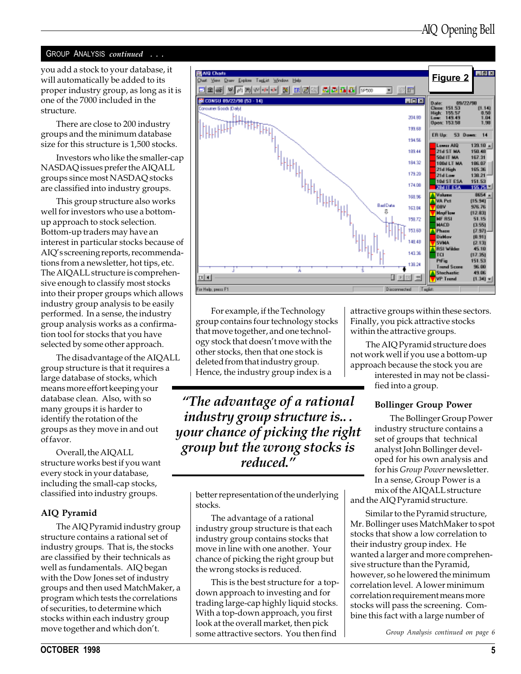#### GROUP ANALYSIS continued . . .

you add a stock to your database, it will automatically be added to its proper industry group, as long as it is one of the 7000 included in the structure.

There are close to 200 industry groups and the minimum database size for this structure is 1,500 stocks.

Investors who like the smaller-cap NASDAQ issues prefer the AIQALL groups since most NASDAQ stocks are classified into industry groups.

This group structure also works well for investors who use a bottomup approach to stock selection. Bottom-up traders may have an interest in particular stocks because of AIQ's screening reports, recommendations from a newsletter, hot tips, etc. The AIQALL structure is comprehensive enough to classify most stocks into their proper groups which allows industry group analysis to be easily performed. In a sense, the industry group analysis works as a confirmation tool for stocks that you have selected by some other approach.

The disadvantage of the AIQALL group structure is that it requires a large database of stocks, which means more effort keeping your database clean. Also, with so many groups it is harder to identify the rotation of the groups as they move in and out of favor.

Overall, the AIQALL structure works best if you want every stock in your database, including the small-cap stocks, classified into industry groups.

#### AIQ Pyramid

The AIQ Pyramid industry group structure contains a rational set of industry groups. That is, the stocks are classified by their technicals as well as fundamentals. AIQ began with the Dow Jones set of industry groups and then used MatchMaker, a program which tests the correlations of securities, to determine which stocks within each industry group move together and which don't.



For example, if the Technology group contains four technology stocks that move together, and one technology stock that doesn't move with the other stocks, then that one stock is deleted from that industry group. Hence, the industry group index is a

The advantage of a rational industry group structure is.. . your chance of picking the right group but the wrong stocks is reduced.

> better representation of the underlying stocks.

The advantage of a rational industry group structure is that each industry group contains stocks that move in line with one another. Your chance of picking the right group but the wrong stocks is reduced.

This is the best structure for a topdown approach to investing and for trading large-cap highly liquid stocks. With a top-down approach, you first look at the overall market, then pick some attractive sectors. You then find

attractive groups within these sectors. Finally, you pick attractive stocks within the attractive groups.

The AIQ Pyramid structure does not work well if you use a bottom-up approach because the stock you are

interested in may not be classified into a group.

#### Bollinger Group Power

The Bollinger Group Power industry structure contains a set of groups that technical analyst John Bollinger developed for his own analysis and for his Group Power newsletter. In a sense, Group Power is a mix of the AIQALL structure

and the AIQ Pyramid structure.

Similar to the Pyramid structure, Mr. Bollinger uses MatchMaker to spot stocks that show a low correlation to their industry group index. He wanted a larger and more comprehensive structure than the Pyramid, however, so he lowered the minimum correlation level. A lower minimum correlation requirement means more stocks will pass the screening. Combine this fact with a large number of

Group Analysis continued on page 6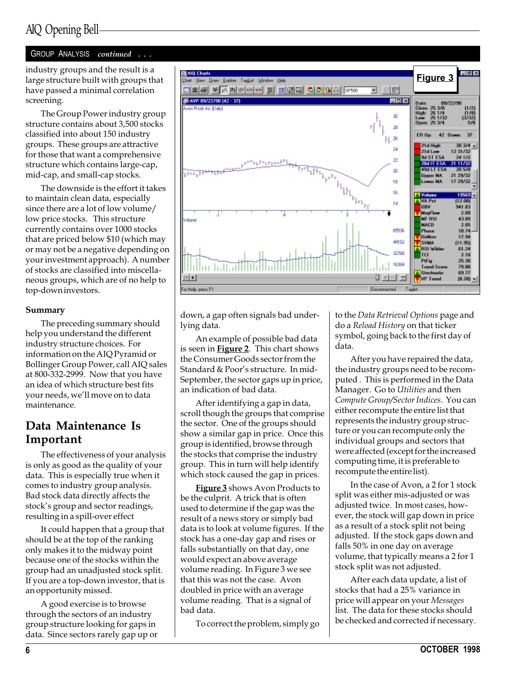## AIQ Opening Bell

#### GROUP ANALYSIS continued

industry groups and the result is a large structure built with groups that have passed a minimal correlation screening.

The Group Power industry group structure contains about 3,500 stocks classified into about 150 industry groups. These groups are attractive for those that want a comprehensive structure which contains large-cap, mid-cap, and small-cap stocks.

The downside is the effort it takes to maintain clean data, especially since there are a lot of low volume/ low price stocks. This structure currently contains over 1000 stocks that are priced below \$10 (which may or may not be a negative depending on your investment approach). A number of stocks are classified into miscellaneous groups, which are of no help to top-down investors.

#### Summary

The preceding summary should help you understand the different industry structure choices. For information on the AIQ Pyramid or Bollinger Group Power, call AIQ sales at 800-332-2999. Now that you have an idea of which structure best fits your needs, we'll move on to data maintenance.

### Data Maintenance Is Important

The effectiveness of your analysis is only as good as the quality of your data. This is especially true when it comes to industry group analysis. Bad stock data directly affects the stock's group and sector readings, resulting in a spill-over effect

It could happen that a group that should be at the top of the ranking only makes it to the midway point because one of the stocks within the group had an unadjusted stock split. If you are a top-down investor, that is an opportunity missed.

A good exercise is to browse through the sectors of an industry group structure looking for gaps in data. Since sectors rarely gap up or



down, a gap often signals bad underlying data.

An example of possible bad data is seen in **Figure 2**. This chart shows the Consumer Goods sector from the Standard & Poor's structure. In mid-September, the sector gaps up in price, an indication of bad data.

After identifying a gap in data, scroll though the groups that comprise the sector. One of the groups should show a similar gap in price. Once this group is identified, browse through the stocks that comprise the industry group. This in turn will help identify which stock caused the gap in prices.

Figure 3 shows Avon Products to be the culprit. A trick that is often used to determine if the gap was the result of a news story or simply bad data is to look at volume figures. If the stock has a one-day gap and rises or falls substantially on that day, one would expect an above average volume reading. In Figure 3 we see that this was not the case. Avon doubled in price with an average volume reading. That is a signal of bad data.

To correct the problem, simply go

to the Data Retrieval Options page and do a Reload History on that ticker symbol, going back to the first day of data.

After you have repaired the data, the industry groups need to be recomputed . This is performed in the Data Manager. Go to Utilities and then Compute Group/Sector Indices. You can either recompute the entire list that represents the industry group structure or you can recompute only the individual groups and sectors that were affected (except for the increased computing time, it is preferable to recompute the entire list).

In the case of Avon, a 2 for 1 stock split was either mis-adjusted or was adjusted twice. In most cases, however, the stock will gap down in price as a result of a stock split not being adjusted. If the stock gaps down and falls 50% in one day on average volume, that typically means a 2 for 1 stock split was not adjusted.

After each data update, a list of stocks that had a 25% variance in price will appear on your Messages list. The data for these stocks should be checked and corrected if necessary.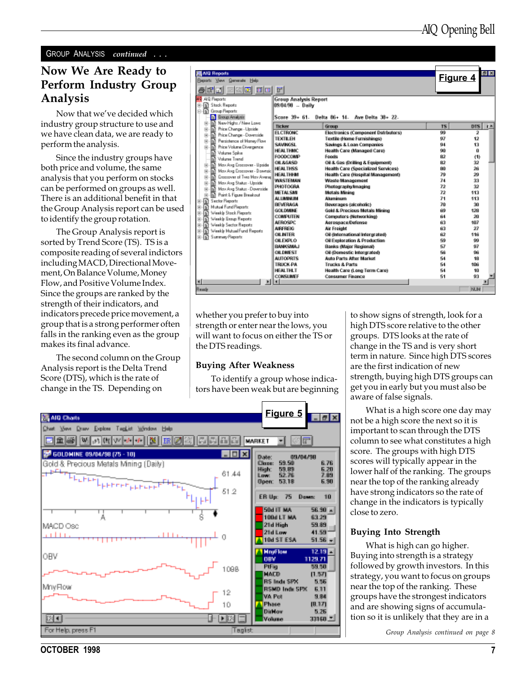#### GROUP ANALYSIS continued . . .

#### Now We Are Ready to Perform Industry Group Analysis

Now that we've decided which industry group structure to use and we have clean data, we are ready to perform the analysis.

Since the industry groups have both price and volume, the same analysis that you perform on stocks can be performed on groups as well. There is an additional benefit in that the Group Analysis report can be used to identify the group rotation.

The Group Analysis report is sorted by Trend Score (TS). TS is a composite reading of several indictors including MACD, Directional Movement, On Balance Volume, Money Flow, and Positive Volume Index. Since the groups are ranked by the strength of their indicators, and indicators precede price movement, a group that is a strong performer often falls in the ranking even as the group makes its final advance.

The second column on the Group Analysis report is the Delta Trend Score (DTS), which is the rate of change in the TS. Depending on

| <b>AIG Reports</b><br><b>Bepatz View Generate Help</b><br>200 0 0 1<br>聞目<br>MP AID Reports<br><b>In Stack Reports</b><br>幽<br><b>Si Group Reports</b><br>Ė<br>m<br>Eiroup Analysis | <b>Group Analysis Report</b><br>09/04/98 -- Daily<br>Score 39+ 61. | Delta 86+ 14. Ave Delta 38+ 22.                         | Figure 4  | <b>BIX</b>          |
|-------------------------------------------------------------------------------------------------------------------------------------------------------------------------------------|--------------------------------------------------------------------|---------------------------------------------------------|-----------|---------------------|
| New Highs / New Lowe<br>m<br>na.                                                                                                                                                    | Ticker                                                             | Group                                                   | <b>T5</b> | DTS<br>$\mathbf{r}$ |
| m<br>Price Change - Ugnide<br>审                                                                                                                                                     | <b>ELCTRONC</b>                                                    | Electronics (Component Dstrbutors)                      | 99        | 2                   |
| m<br>南<br>Price Change - Dovesside                                                                                                                                                  | <b>TEXTILEH</b>                                                    | <b>Textile (Home Furnishings)</b>                       | 97        | 12                  |
| R<br>由<br>Pertixtence of Maney Flow<br>ria.<br>Price Volume Diverpence                                                                                                              | SAMNOSI                                                            | Savings & Loan Companies                                | 94        | 13                  |
| m<br>Volume Soilee                                                                                                                                                                  | <b>HEALTHMC</b>                                                    | Health Care (Managed Care)                              | 98        | ū                   |
| R<br><b>Volume Trend</b>                                                                                                                                                            | <b>FOODCOMP</b>                                                    | Foods                                                   | 82        | (1)                 |
| R<br>May Aya Erozzover - Upside<br>œ.                                                                                                                                               | 08484.00                                                           | Oil & Gas (Drilling & Equipment)                        | 82        | 32                  |
| n<br>May Aya Eroccover - Downaid<br>由                                                                                                                                               | <b>HEALTHSS</b>                                                    | <b>Health Care (Specialized Services)</b>               | 80        | 26                  |
| Cropspyer of Two May Ayerar<br>R<br>由                                                                                                                                               | <b>HEALTHHM</b>                                                    | Health Care (Hospital Management)                       | 79        | 29                  |
| May Avg Status - Upside<br>M<br>宙                                                                                                                                                   | <b>WASTEMAN</b>                                                    | <b>Waste Management</b>                                 | 74        | 33                  |
| May Aya Status - Davenide<br>M<br>南                                                                                                                                                 | PHOTOGRA                                                           | Photographytmaging                                      | 72        | 32                  |
| Point & Figure Breakout<br>幽                                                                                                                                                        | <b>METAL SMI</b>                                                   | Metals Mining                                           | 72        | 113                 |
| m<br><b>Sector Reports</b>                                                                                                                                                          | AL UMINUM                                                          | Aluminum                                                | 71        | 113                 |
| Mutual Fund Reports<br>m<br>围                                                                                                                                                       | BEVERAGA                                                           | Beverages (alcoholic)                                   | 78        | 30                  |
| Weekle Stock Reports<br>m<br>由                                                                                                                                                      | <b>GOLDMINE</b>                                                    | Gold & Procious Metals Mining                           | ĤШ        | 128                 |
| r<br>Weekle Exous Reports<br>南                                                                                                                                                      | COMPUTEN                                                           | <b>Computers (Networking)</b>                           | 64.       | 20                  |
| Weekle Sector Reports<br>F<br>蘭                                                                                                                                                     | <b>AFROSDC</b>                                                     | Aerosnace/Defense                                       | 63.       | 187                 |
| Weekly Mutual Fund Reports<br>m<br>南                                                                                                                                                | <b>AIRFREIG</b>                                                    | Air Freisht                                             | 63        | 27                  |
| Summary Reports<br>幽<br>m                                                                                                                                                           | <b>OLINTER</b>                                                     | Oil diviernational intergrate@                          | 62        | 116                 |
|                                                                                                                                                                                     | OILEXPLO                                                           | Oil Excloration & Production                            | 59        | 99                  |
|                                                                                                                                                                                     | <b>BANKSMAJ</b>                                                    | <b>Banks (Major Regional)</b>                           | 57        | 97                  |
|                                                                                                                                                                                     | <b>OILDMEST</b>                                                    | Oil (Domestic Intergrated)                              | 56        | 96                  |
|                                                                                                                                                                                     | <b>AUTOPRTS</b>                                                    | <b>Auto Parts After Market</b>                          | 54        | 18                  |
|                                                                                                                                                                                     | ТВНСК-РА<br><b>HEALTHLT</b>                                        | <b>Trucks &amp; Parts</b>                               | 54<br>54  | 106                 |
|                                                                                                                                                                                     | CONSUMER                                                           | Health Care (Long Term Care)<br><b>Consumer Finance</b> | 51        | 10<br>93            |
| ⊣<br>$\blacksquare$                                                                                                                                                                 | ш                                                                  |                                                         |           |                     |
| <b>Reade</b>                                                                                                                                                                        |                                                                    |                                                         |           | <b>NUM</b>          |

whether you prefer to buy into strength or enter near the lows, you will want to focus on either the TS or the DTS readings.

#### Buying After Weakness

To identify a group whose indicators have been weak but are beginning



to show signs of strength, look for a high DTS score relative to the other groups. DTS looks at the rate of change in the TS and is very short term in nature. Since high DTS scores are the first indication of new strength, buying high DTS groups can get you in early but you must also be aware of false signals.

What is a high score one day may not be a high score the next so it is important to scan through the DTS column to see what constitutes a high score. The groups with high DTS scores will typically appear in the lower half of the ranking. The groups near the top of the ranking already have strong indicators so the rate of change in the indicators is typically close to zero.

#### Buying Into Strength

What is high can go higher. Buying into strength is a strategy followed by growth investors. In this strategy, you want to focus on groups near the top of the ranking. These groups have the strongest indicators and are showing signs of accumulation so it is unlikely that they are in a

Group Analysis continued on page 8